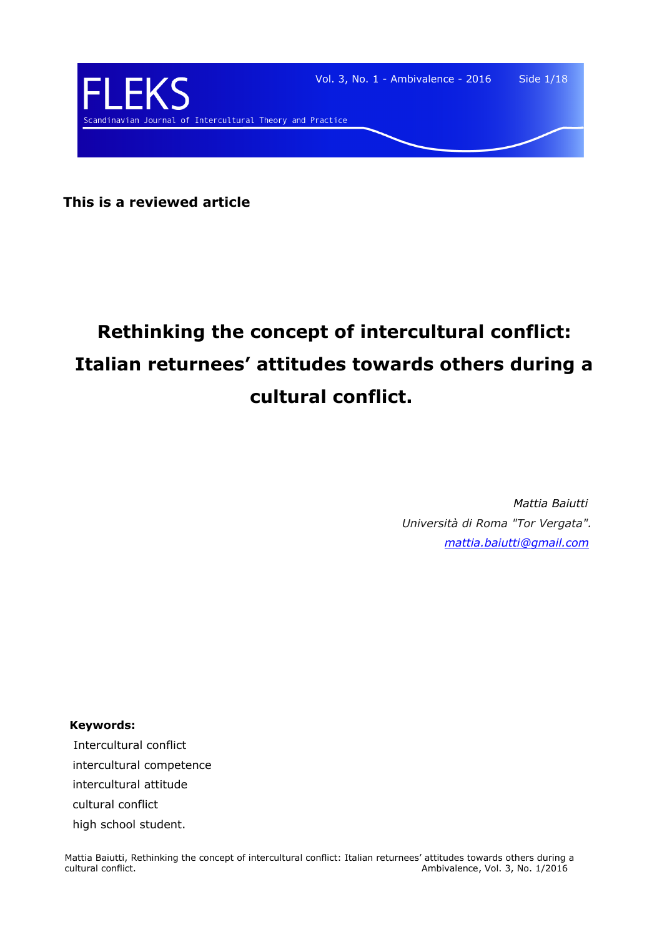

**This is a reviewed article**

# **Rethinking the concept of intercultural conflict: Italian returnees' attitudes towards others during a cultural conflict.**

*Mattia Baiutti Università di Roma "Tor Vergata". [mattia.baiutti@gmail.com](mailto:mattia.baiutti@gmail.com)*

**Keywords:**

 Intercultural conflict intercultural competence intercultural attitude cultural conflict high school student.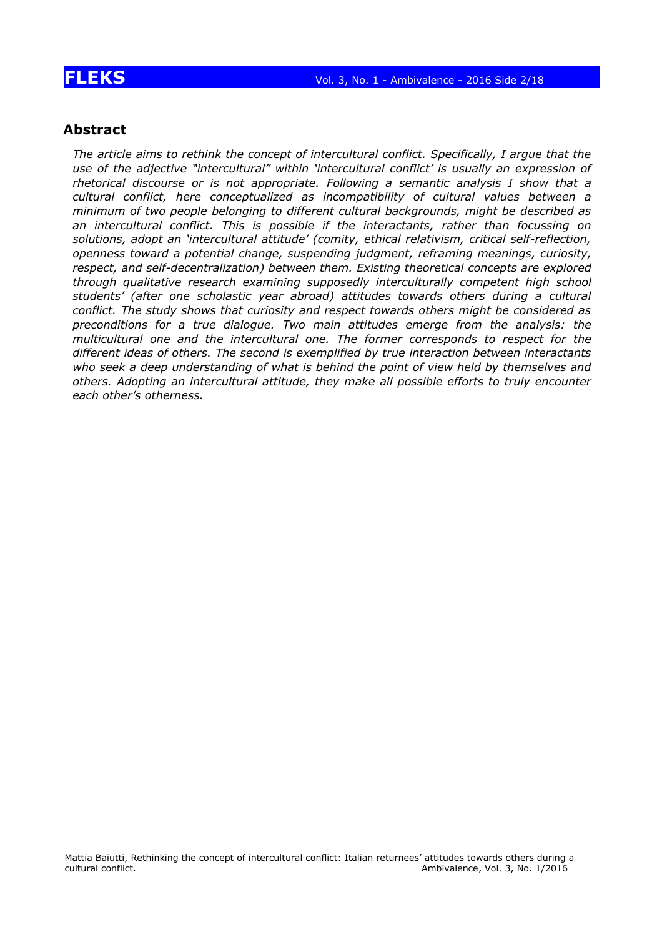### **Abstract**

*The article aims to rethink the concept of intercultural conflict. Specifically, I argue that the use of the adjective "intercultural" within 'intercultural conflict' is usually an expression of rhetorical discourse or is not appropriate. Following a semantic analysis I show that a cultural conflict, here conceptualized as incompatibility of cultural values between a minimum of two people belonging to different cultural backgrounds, might be described as an intercultural conflict. This is possible if the interactants, rather than focussing on solutions, adopt an 'intercultural attitude' (comity, ethical relativism, critical self-reflection, openness toward a potential change, suspending judgment, reframing meanings, curiosity, respect, and self-decentralization) between them. Existing theoretical concepts are explored through qualitative research examining supposedly interculturally competent high school students' (after one scholastic year abroad) attitudes towards others during a cultural conflict. The study shows that curiosity and respect towards others might be considered as preconditions for a true dialogue. Two main attitudes emerge from the analysis: the multicultural one and the intercultural one. The former corresponds to respect for the different ideas of others. The second is exemplified by true interaction between interactants who seek a deep understanding of what is behind the point of view held by themselves and others. Adopting an intercultural attitude, they make all possible efforts to truly encounter each other's otherness.*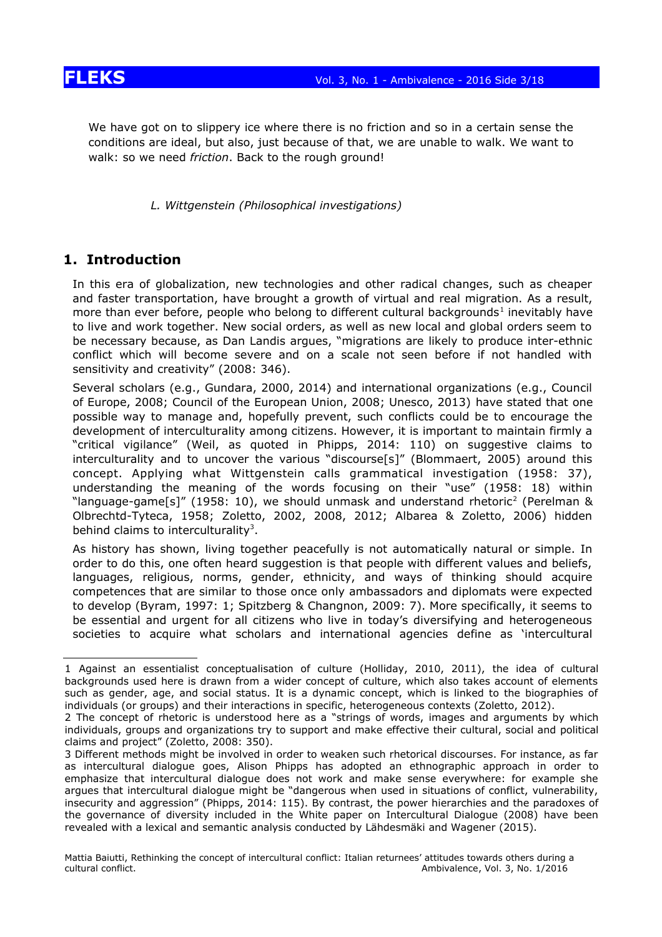

We have got on to slippery ice where there is no friction and so in a certain sense the conditions are ideal, but also, just because of that, we are unable to walk. We want to walk: so we need *friction*. Back to the rough ground!

*L. Wittgenstein (Philosophical investigations)*

### **1. Introduction**

In this era of globalization, new technologies and other radical changes, such as cheaper and faster transportation, have brought a growth of virtual and real migration. As a result, more than ever before, people who belong to different cultural backgrounds<sup>[1](#page-2-0)</sup> inevitably have to live and work together. New social orders, as well as new local and global orders seem to be necessary because, as Dan Landis argues, "migrations are likely to produce inter-ethnic conflict which will become severe and on a scale not seen before if not handled with sensitivity and creativity" (2008: 346).

Several scholars (e.g., Gundara, 2000, 2014) and international organizations (e.g., Council of Europe, 2008; Council of the European Union, 2008; Unesco, 2013) have stated that one possible way to manage and, hopefully prevent, such conflicts could be to encourage the development of interculturality among citizens. However, it is important to maintain firmly a "critical vigilance" (Weil, as quoted in Phipps, 2014: 110) on suggestive claims to interculturality and to uncover the various "discourse[s]" (Blommaert, 2005) around this concept. Applying what Wittgenstein calls grammatical investigation (1958: 37), understanding the meaning of the words focusing on their "use" (1958: 18) within "language-game[s]" (1958: 10), we should unmask and understand rhetoric<sup>[2](#page-2-1)</sup> (Perelman & Olbrechtd-Tyteca, 1958; Zoletto, 2002, 2008, 2012; Albarea & Zoletto, 2006) hidden behind claims to interculturality<sup>[3](#page-2-2)</sup>.

As history has shown, living together peacefully is not automatically natural or simple. In order to do this, one often heard suggestion is that people with different values and beliefs, languages, religious, norms, gender, ethnicity, and ways of thinking should acquire competences that are similar to those once only ambassadors and diplomats were expected to develop (Byram, 1997: 1; Spitzberg & Changnon, 2009: 7). More specifically, it seems to be essential and urgent for all citizens who live in today's diversifying and heterogeneous societies to acquire what scholars and international agencies define as 'intercultural

<span id="page-2-0"></span><sup>1</sup> Against an essentialist conceptualisation of culture (Holliday, 2010, 2011), the idea of cultural backgrounds used here is drawn from a wider concept of culture, which also takes account of elements such as gender, age, and social status. It is a dynamic concept, which is linked to the biographies of individuals (or groups) and their interactions in specific, heterogeneous contexts (Zoletto, 2012).

<span id="page-2-1"></span><sup>2</sup> The concept of rhetoric is understood here as a "strings of words, images and arguments by which individuals, groups and organizations try to support and make effective their cultural, social and political claims and project" (Zoletto, 2008: 350).

<span id="page-2-2"></span><sup>3</sup> Different methods might be involved in order to weaken such rhetorical discourses. For instance, as far as intercultural dialogue goes, Alison Phipps has adopted an ethnographic approach in order to emphasize that intercultural dialogue does not work and make sense everywhere: for example she argues that intercultural dialogue might be "dangerous when used in situations of conflict, vulnerability, insecurity and aggression" (Phipps, 2014: 115). By contrast, the power hierarchies and the paradoxes of the governance of diversity included in the White paper on Intercultural Dialogue (2008) have been revealed with a lexical and semantic analysis conducted by Lähdesmäki and Wagener (2015).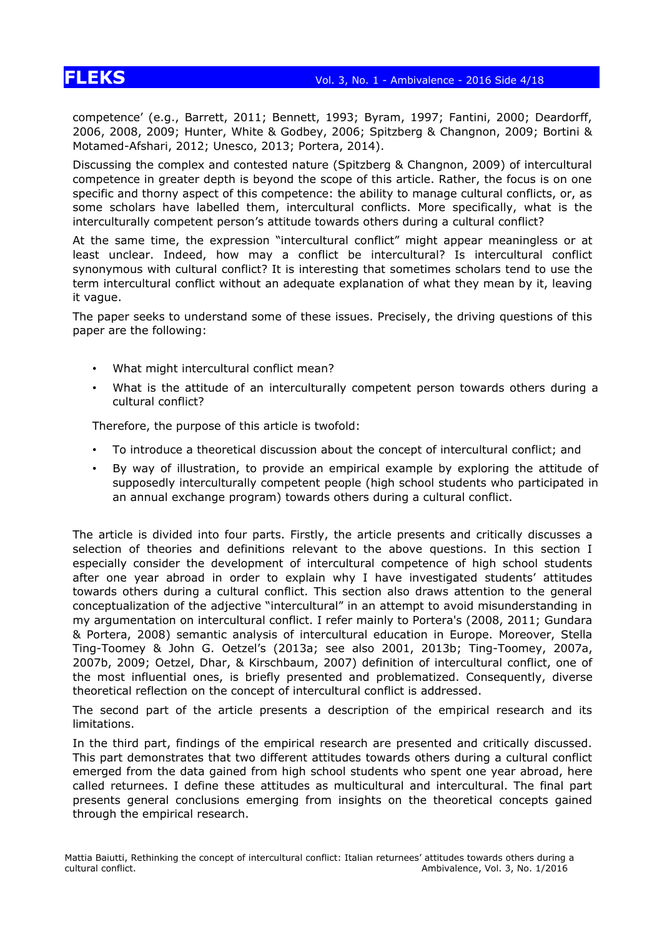# **FLEKS** Vol. 3, No. 1 - Ambivalence - 2016 Side 4/18

competence' (e.g., Barrett, 2011; Bennett, 1993; Byram, 1997; Fantini, 2000; Deardorff, 2006, 2008, 2009; Hunter, White & Godbey, 2006; Spitzberg & Changnon, 2009; Bortini & Motamed-Afshari, 2012; Unesco, 2013; Portera, 2014).

Discussing the complex and contested nature (Spitzberg & Changnon, 2009) of intercultural competence in greater depth is beyond the scope of this article. Rather, the focus is on one specific and thorny aspect of this competence: the ability to manage cultural conflicts, or, as some scholars have labelled them, intercultural conflicts. More specifically, what is the interculturally competent person's attitude towards others during a cultural conflict?

At the same time, the expression "intercultural conflict" might appear meaningless or at least unclear. Indeed, how may a conflict be intercultural? Is intercultural conflict synonymous with cultural conflict? It is interesting that sometimes scholars tend to use the term intercultural conflict without an adequate explanation of what they mean by it, leaving it vague.

The paper seeks to understand some of these issues. Precisely, the driving questions of this paper are the following:

- What might intercultural conflict mean?
- What is the attitude of an interculturally competent person towards others during a cultural conflict?

Therefore, the purpose of this article is twofold:

- To introduce a theoretical discussion about the concept of intercultural conflict; and
- By way of illustration, to provide an empirical example by exploring the attitude of supposedly interculturally competent people (high school students who participated in an annual exchange program) towards others during a cultural conflict.

The article is divided into four parts. Firstly, the article presents and critically discusses a selection of theories and definitions relevant to the above questions. In this section I especially consider the development of intercultural competence of high school students after one year abroad in order to explain why I have investigated students' attitudes towards others during a cultural conflict. This section also draws attention to the general conceptualization of the adjective "intercultural" in an attempt to avoid misunderstanding in my argumentation on intercultural conflict. I refer mainly to Portera's (2008, 2011; Gundara & Portera, 2008) semantic analysis of intercultural education in Europe. Moreover, Stella Ting-Toomey & John G. Oetzel's (2013a; see also 2001, 2013b; Ting-Toomey, 2007a, 2007b, 2009; Oetzel, Dhar, & Kirschbaum, 2007) definition of intercultural conflict, one of the most influential ones, is briefly presented and problematized. Consequently, diverse theoretical reflection on the concept of intercultural conflict is addressed.

The second part of the article presents a description of the empirical research and its limitations.

In the third part, findings of the empirical research are presented and critically discussed. This part demonstrates that two different attitudes towards others during a cultural conflict emerged from the data gained from high school students who spent one year abroad, here called returnees. I define these attitudes as multicultural and intercultural. The final part presents general conclusions emerging from insights on the theoretical concepts gained through the empirical research.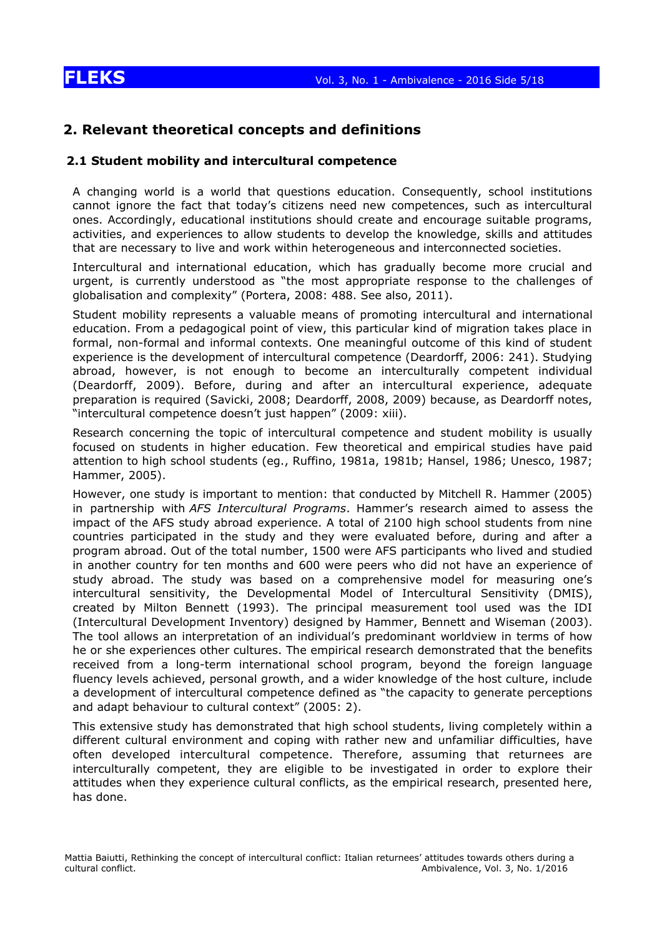### **2. Relevant theoretical concepts and definitions**

### **2.1 Student mobility and intercultural competence**

A changing world is a world that questions education. Consequently, school institutions cannot ignore the fact that today's citizens need new competences, such as intercultural ones. Accordingly, educational institutions should create and encourage suitable programs, activities, and experiences to allow students to develop the knowledge, skills and attitudes that are necessary to live and work within heterogeneous and interconnected societies.

Intercultural and international education, which has gradually become more crucial and urgent, is currently understood as "the most appropriate response to the challenges of globalisation and complexity" (Portera, 2008: 488. See also, 2011).

Student mobility represents a valuable means of promoting intercultural and international education. From a pedagogical point of view, this particular kind of migration takes place in formal, non-formal and informal contexts. One meaningful outcome of this kind of student experience is the development of intercultural competence (Deardorff, 2006: 241). Studying abroad, however, is not enough to become an interculturally competent individual (Deardorff, 2009). Before, during and after an intercultural experience, adequate preparation is required (Savicki, 2008; Deardorff, 2008, 2009) because, as Deardorff notes, "intercultural competence doesn't just happen" (2009: xiii).

Research concerning the topic of intercultural competence and student mobility is usually focused on students in higher education. Few theoretical and empirical studies have paid attention to high school students (eg., Ruffino, 1981a, 1981b; Hansel, 1986; Unesco, 1987; Hammer, 2005).

However, one study is important to mention: that conducted by Mitchell R. Hammer (2005) in partnership with *AFS Intercultural Programs*. Hammer's research aimed to assess the impact of the AFS study abroad experience. A total of 2100 high school students from nine countries participated in the study and they were evaluated before, during and after a program abroad. Out of the total number, 1500 were AFS participants who lived and studied in another country for ten months and 600 were peers who did not have an experience of study abroad. The study was based on a comprehensive model for measuring one's intercultural sensitivity, the Developmental Model of Intercultural Sensitivity (DMIS), created by Milton Bennett (1993). The principal measurement tool used was the IDI (Intercultural Development Inventory) designed by Hammer, Bennett and Wiseman (2003). The tool allows an interpretation of an individual's predominant worldview in terms of how he or she experiences other cultures. The empirical research demonstrated that the benefits received from a long-term international school program, beyond the foreign language fluency levels achieved, personal growth, and a wider knowledge of the host culture, include a development of intercultural competence defined as "the capacity to generate perceptions and adapt behaviour to cultural context" (2005: 2).

This extensive study has demonstrated that high school students, living completely within a different cultural environment and coping with rather new and unfamiliar difficulties, have often developed intercultural competence. Therefore, assuming that returnees are interculturally competent, they are eligible to be investigated in order to explore their attitudes when they experience cultural conflicts, as the empirical research, presented here, has done.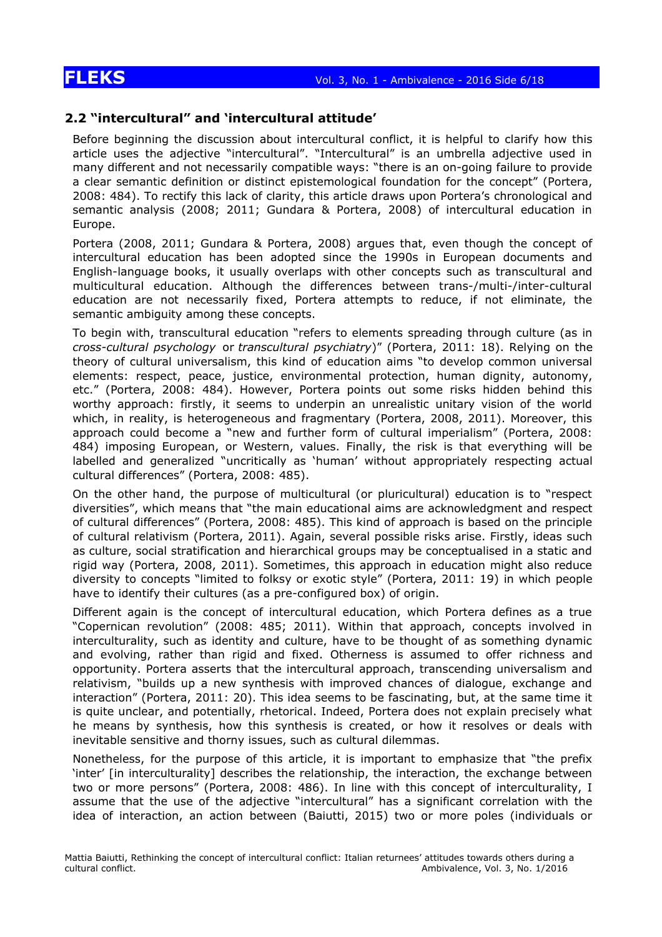### **2.2 "intercultural" and 'intercultural attitude'**

Before beginning the discussion about intercultural conflict, it is helpful to clarify how this article uses the adjective "intercultural". "Intercultural" is an umbrella adjective used in many different and not necessarily compatible ways: "there is an on-going failure to provide a clear semantic definition or distinct epistemological foundation for the concept" (Portera, 2008: 484). To rectify this lack of clarity, this article draws upon Portera's chronological and semantic analysis (2008; 2011; Gundara & Portera, 2008) of intercultural education in Europe.

Portera (2008, 2011; Gundara & Portera, 2008) argues that, even though the concept of intercultural education has been adopted since the 1990s in European documents and English-language books, it usually overlaps with other concepts such as transcultural and multicultural education. Although the differences between trans-/multi-/inter-cultural education are not necessarily fixed, Portera attempts to reduce, if not eliminate, the semantic ambiguity among these concepts.

To begin with, transcultural education "refers to elements spreading through culture (as in *cross-cultural psychology* or *transcultural psychiatry*)" (Portera, 2011: 18). Relying on the theory of cultural universalism, this kind of education aims "to develop common universal elements: respect, peace, justice, environmental protection, human dignity, autonomy, etc." (Portera, 2008: 484). However, Portera points out some risks hidden behind this worthy approach: firstly, it seems to underpin an unrealistic unitary vision of the world which, in reality, is heterogeneous and fragmentary (Portera, 2008, 2011). Moreover, this approach could become a "new and further form of cultural imperialism" (Portera, 2008: 484) imposing European, or Western, values. Finally, the risk is that everything will be labelled and generalized "uncritically as 'human' without appropriately respecting actual cultural differences" (Portera, 2008: 485).

On the other hand, the purpose of multicultural (or pluricultural) education is to "respect diversities", which means that "the main educational aims are acknowledgment and respect of cultural differences" (Portera, 2008: 485). This kind of approach is based on the principle of cultural relativism (Portera, 2011). Again, several possible risks arise. Firstly, ideas such as culture, social stratification and hierarchical groups may be conceptualised in a static and rigid way (Portera, 2008, 2011). Sometimes, this approach in education might also reduce diversity to concepts "limited to folksy or exotic style" (Portera, 2011: 19) in which people have to identify their cultures (as a pre-configured box) of origin.

Different again is the concept of intercultural education, which Portera defines as a true "Copernican revolution" (2008: 485; 2011). Within that approach, concepts involved in interculturality, such as identity and culture, have to be thought of as something dynamic and evolving, rather than rigid and fixed. Otherness is assumed to offer richness and opportunity. Portera asserts that the intercultural approach, transcending universalism and relativism, "builds up a new synthesis with improved chances of dialogue, exchange and interaction" (Portera, 2011: 20). This idea seems to be fascinating, but, at the same time it is quite unclear, and potentially, rhetorical. Indeed, Portera does not explain precisely what he means by synthesis, how this synthesis is created, or how it resolves or deals with inevitable sensitive and thorny issues, such as cultural dilemmas.

Nonetheless, for the purpose of this article, it is important to emphasize that "the prefix 'inter' [in interculturality] describes the relationship, the interaction, the exchange between two or more persons" (Portera, 2008: 486). In line with this concept of interculturality, I assume that the use of the adjective "intercultural" has a significant correlation with the idea of interaction, an action between (Baiutti, 2015) two or more poles (individuals or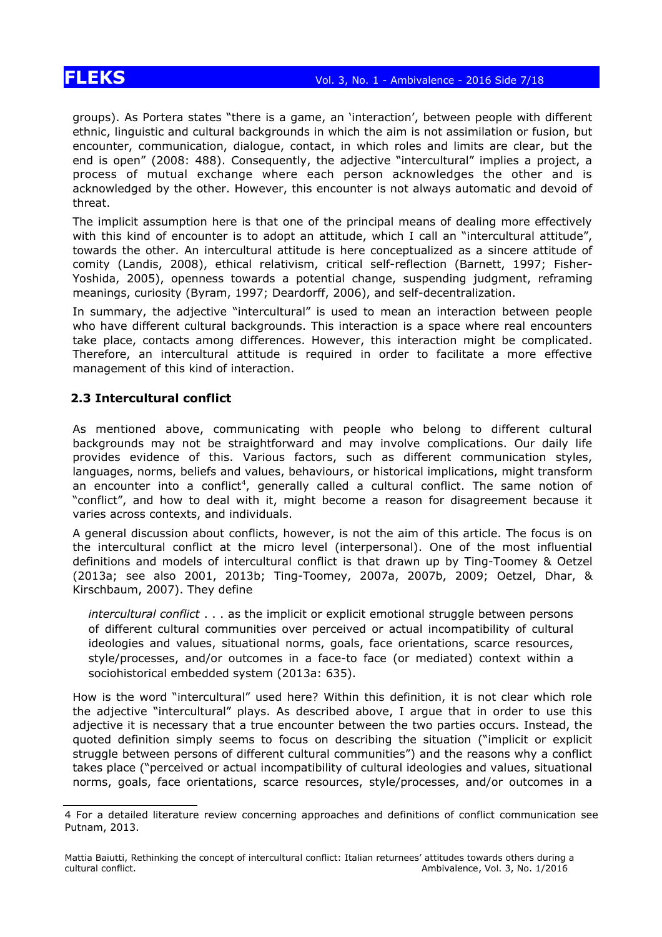# **FLEKS** Vol. 3, No. 1 - Ambivalence - 2016 Side 7/18

groups). As Portera states "there is a game, an 'interaction', between people with different ethnic, linguistic and cultural backgrounds in which the aim is not assimilation or fusion, but encounter, communication, dialogue, contact, in which roles and limits are clear, but the end is open" (2008: 488). Consequently, the adjective "intercultural" implies a project, a process of mutual exchange where each person acknowledges the other and is acknowledged by the other. However, this encounter is not always automatic and devoid of threat.

The implicit assumption here is that one of the principal means of dealing more effectively with this kind of encounter is to adopt an attitude, which I call an "intercultural attitude", towards the other. An intercultural attitude is here conceptualized as a sincere attitude of comity (Landis, 2008), ethical relativism, critical self-reflection (Barnett, 1997; Fisher-Yoshida, 2005), openness towards a potential change, suspending judgment, reframing meanings, curiosity (Byram, 1997; Deardorff, 2006), and self-decentralization.

In summary, the adjective "intercultural" is used to mean an interaction between people who have different cultural backgrounds. This interaction is a space where real encounters take place, contacts among differences. However, this interaction might be complicated. Therefore, an intercultural attitude is required in order to facilitate a more effective management of this kind of interaction.

### **2.3 Intercultural conflict**

As mentioned above, communicating with people who belong to different cultural backgrounds may not be straightforward and may involve complications. Our daily life provides evidence of this. Various factors, such as different communication styles, languages, norms, beliefs and values, behaviours, or historical implications, might transform an encounter into a conflict<sup>[4](#page-6-0)</sup>, generally called a cultural conflict. The same notion of "conflict", and how to deal with it, might become a reason for disagreement because it varies across contexts, and individuals.

A general discussion about conflicts, however, is not the aim of this article. The focus is on the intercultural conflict at the micro level (interpersonal). One of the most influential definitions and models of intercultural conflict is that drawn up by Ting-Toomey & Oetzel (2013a; see also 2001, 2013b; Ting-Toomey, 2007a, 2007b, 2009; Oetzel, Dhar, & Kirschbaum, 2007). They define

*intercultural conflict* . . . as the implicit or explicit emotional struggle between persons of different cultural communities over perceived or actual incompatibility of cultural ideologies and values, situational norms, goals, face orientations, scarce resources, style/processes, and/or outcomes in a face-to face (or mediated) context within a sociohistorical embedded system (2013a: 635).

How is the word "intercultural" used here? Within this definition, it is not clear which role the adjective "intercultural" plays. As described above, I argue that in order to use this adjective it is necessary that a true encounter between the two parties occurs. Instead, the quoted definition simply seems to focus on describing the situation ("implicit or explicit struggle between persons of different cultural communities") and the reasons why a conflict takes place ("perceived or actual incompatibility of cultural ideologies and values, situational norms, goals, face orientations, scarce resources, style/processes, and/or outcomes in a

<span id="page-6-0"></span><sup>4</sup> For a detailed literature review concerning approaches and definitions of conflict communication see Putnam, 2013.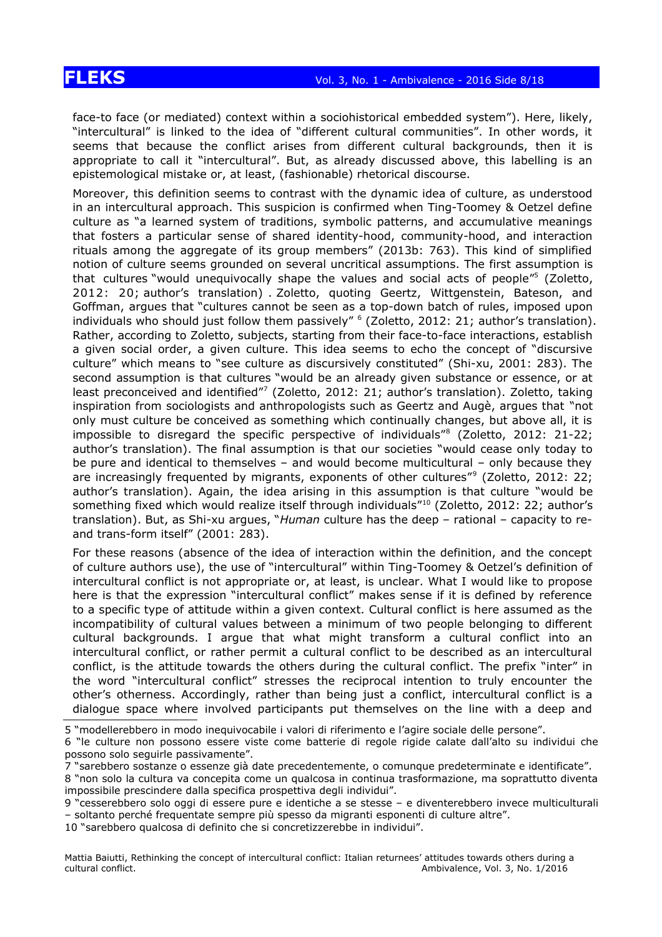face-to face (or mediated) context within a sociohistorical embedded system"). Here, likely, "intercultural" is linked to the idea of "different cultural communities". In other words, it seems that because the conflict arises from different cultural backgrounds, then it is appropriate to call it "intercultural". But, as already discussed above, this labelling is an epistemological mistake or, at least, (fashionable) rhetorical discourse.

Moreover, this definition seems to contrast with the dynamic idea of culture, as understood in an intercultural approach. This suspicion is confirmed when Ting-Toomey & Oetzel define culture as "a learned system of traditions, symbolic patterns, and accumulative meanings that fosters a particular sense of shared identity-hood, community-hood, and interaction rituals among the aggregate of its group members" (2013b: 763). This kind of simplified notion of culture seems grounded on several uncritical assumptions. The first assumption is that cultures "would unequivocally shape the values and social acts of people"<sup>[5](#page-7-0)</sup> (Zoletto, 2012: 20; author's translation) . Zoletto, quoting Geertz, Wittgenstein, Bateson, and Goffman, argues that "cultures cannot be seen as a top-down batch of rules, imposed upon individuals who should just follow them passively" [6](#page-7-1) (Zoletto, 2012: 21; author's translation). Rather, according to Zoletto, subjects, starting from their face-to-face interactions, establish a given social order, a given culture. This idea seems to echo the concept of "discursive culture" which means to "see culture as discursively constituted" (Shi-xu, 2001: 283). The second assumption is that cultures "would be an already given substance or essence, or at least preconceived and identified"<sup>[7](#page-7-2)</sup> (Zoletto, 2012: 21; author's translation). Zoletto, taking inspiration from sociologists and anthropologists such as Geertz and Augè, argues that "not only must culture be conceived as something which continually changes, but above all, it is impossible to disregard the specific perspective of individuals"[8](#page-7-3) (Zoletto, 2012: 21-22; author's translation). The final assumption is that our societies "would cease only today to be pure and identical to themselves – and would become multicultural – only because they are increasingly frequented by migrants, exponents of other cultures"<sup>[9](#page-7-4)</sup> (Zoletto, 2012: 22; author's translation). Again, the idea arising in this assumption is that culture "would be something fixed which would realize itself through individuals<sup>"[10](#page-7-5)</sup> (Zoletto, 2012: 22; author's translation). But, as Shi-xu argues, "*Human* culture has the deep – rational – capacity to reand trans-form itself" (2001: 283).

For these reasons (absence of the idea of interaction within the definition, and the concept of culture authors use), the use of "intercultural" within Ting-Toomey & Oetzel's definition of intercultural conflict is not appropriate or, at least, is unclear. What I would like to propose here is that the expression "intercultural conflict" makes sense if it is defined by reference to a specific type of attitude within a given context. Cultural conflict is here assumed as the incompatibility of cultural values between a minimum of two people belonging to different cultural backgrounds. I argue that what might transform a cultural conflict into an intercultural conflict, or rather permit a cultural conflict to be described as an intercultural conflict, is the attitude towards the others during the cultural conflict. The prefix "inter" in the word "intercultural conflict" stresses the reciprocal intention to truly encounter the other's otherness. Accordingly, rather than being just a conflict, intercultural conflict is a dialogue space where involved participants put themselves on the line with a deep and

<span id="page-7-0"></span>5 "modellerebbero in modo inequivocabile i valori di riferimento e l'agire sociale delle persone".

<span id="page-7-2"></span>7 "sarebbero sostanze o essenze già date precedentemente, o comunque predeterminate e identificate".

<span id="page-7-1"></span><sup>6 &</sup>quot;le culture non possono essere viste come batterie di regole rigide calate dall'alto su individui che possono solo seguirle passivamente".

<span id="page-7-3"></span><sup>8</sup> "non solo la cultura va concepita come un qualcosa in continua trasformazione, ma soprattutto diventa impossibile prescindere dalla specifica prospettiva degli individui".

<span id="page-7-4"></span><sup>9</sup> "cesserebbero solo oggi di essere pure e identiche a se stesse – e diventerebbero invece multiculturali – soltanto perché frequentate sempre più spesso da migranti esponenti di culture altre".

<span id="page-7-5"></span><sup>10 &</sup>quot;sarebbero qualcosa di definito che si concretizzerebbe in individui".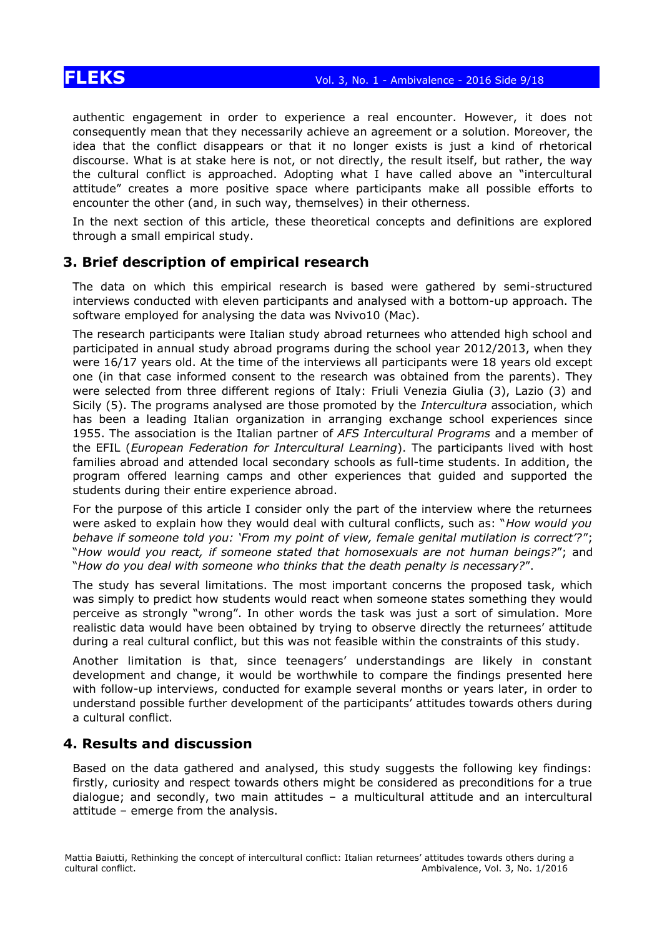authentic engagement in order to experience a real encounter. However, it does not consequently mean that they necessarily achieve an agreement or a solution. Moreover, the idea that the conflict disappears or that it no longer exists is just a kind of rhetorical discourse. What is at stake here is not, or not directly, the result itself, but rather, the way the cultural conflict is approached. Adopting what I have called above an "intercultural attitude" creates a more positive space where participants make all possible efforts to encounter the other (and, in such way, themselves) in their otherness.

In the next section of this article, these theoretical concepts and definitions are explored through a small empirical study.

### **3. Brief description of empirical research**

The data on which this empirical research is based were gathered by semi-structured interviews conducted with eleven participants and analysed with a bottom-up approach. The software employed for analysing the data was Nvivo10 (Mac).

The research participants were Italian study abroad returnees who attended high school and participated in annual study abroad programs during the school year 2012/2013, when they were 16/17 years old. At the time of the interviews all participants were 18 years old except one (in that case informed consent to the research was obtained from the parents). They were selected from three different regions of Italy: Friuli Venezia Giulia (3), Lazio (3) and Sicily (5). The programs analysed are those promoted by the *Intercultura* association, which has been a leading Italian organization in arranging exchange school experiences since 1955. The association is the Italian partner of *AFS Intercultural Programs* and a member of the EFIL (*European Federation for Intercultural Learning*). The participants lived with host families abroad and attended local secondary schools as full-time students. In addition, the program offered learning camps and other experiences that guided and supported the students during their entire experience abroad.

For the purpose of this article I consider only the part of the interview where the returnees were asked to explain how they would deal with cultural conflicts, such as: "*How would you behave if someone told you: 'From my point of view, female genital mutilation is correct'?*"; "*How would you react, if someone stated that homosexuals are not human beings?*"; and "*How do you deal with someone who thinks that the death penalty is necessary?*".

The study has several limitations. The most important concerns the proposed task, which was simply to predict how students would react when someone states something they would perceive as strongly "wrong". In other words the task was just a sort of simulation. More realistic data would have been obtained by trying to observe directly the returnees' attitude during a real cultural conflict, but this was not feasible within the constraints of this study.

Another limitation is that, since teenagers' understandings are likely in constant development and change, it would be worthwhile to compare the findings presented here with follow-up interviews, conducted for example several months or years later, in order to understand possible further development of the participants' attitudes towards others during a cultural conflict.

### **4. Results and discussion**

Based on the data gathered and analysed, this study suggests the following key findings: firstly, curiosity and respect towards others might be considered as preconditions for a true dialogue; and secondly, two main attitudes – a multicultural attitude and an intercultural attitude – emerge from the analysis.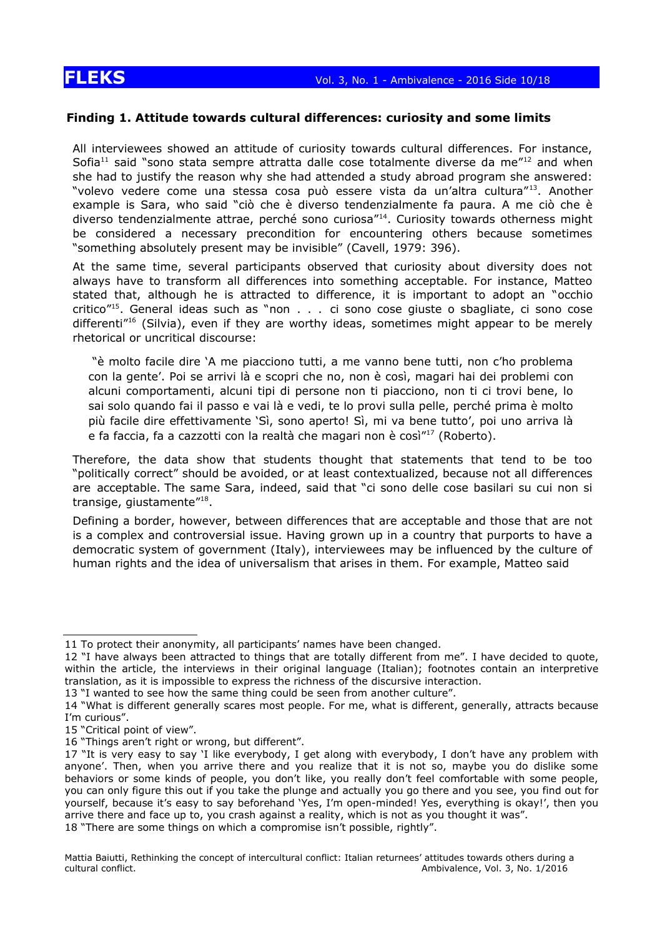### **Finding 1. Attitude towards cultural differences: curiosity and some limits**

All interviewees showed an attitude of curiosity towards cultural differences. For instance, Sofia<sup>[11](#page-9-0)</sup> said "sono stata sempre attratta dalle cose totalmente diverse da me"<sup>[12](#page-9-1)</sup> and when she had to justify the reason why she had attended a study abroad program she answered: "volevo vedere come una stessa cosa può essere vista da un'altra cultura"[13](#page-9-2) . Another example is Sara, who said "ciò che è diverso tendenzialmente fa paura. A me ciò che è diverso tendenzialmente attrae, perché sono curiosa"<sup>[14](#page-9-3)</sup>. Curiosity towards otherness might be considered a necessary precondition for encountering others because sometimes "something absolutely present may be invisible" (Cavell, 1979: 396).

At the same time, several participants observed that curiosity about diversity does not always have to transform all differences into something acceptable. For instance, Matteo stated that, although he is attracted to difference, it is important to adopt an "occhio critico"<sup>[15](#page-9-4)</sup>. General ideas such as "non . . . ci sono cose giuste o sbagliate, ci sono cose differenti<sup>''[16](#page-9-5)</sup> (Silvia), even if they are worthy ideas, sometimes might appear to be merely rhetorical or uncritical discourse:

"è molto facile dire 'A me piacciono tutti, a me vanno bene tutti, non c'ho problema con la gente'. Poi se arrivi là e scopri che no, non è così, magari hai dei problemi con alcuni comportamenti, alcuni tipi di persone non ti piacciono, non ti ci trovi bene, lo sai solo quando fai il passo e vai là e vedi, te lo provi sulla pelle, perché prima è molto più facile dire effettivamente 'Sì, sono aperto! Sì, mi va bene tutto', poi uno arriva là e fa faccia, fa a cazzotti con la realtà che magari non è così<sup>"[17](#page-9-6)</sup> (Roberto).

Therefore, the data show that students thought that statements that tend to be too "politically correct" should be avoided, or at least contextualized, because not all differences are acceptable. The same Sara, indeed, said that "ci sono delle cose basilari su cui non si transige, giustamente"<sup>[18](#page-9-7)</sup>.

Defining a border, however, between differences that are acceptable and those that are not is a complex and controversial issue. Having grown up in a country that purports to have a democratic system of government (Italy), interviewees may be influenced by the culture of human rights and the idea of universalism that arises in them. For example, Matteo said

<span id="page-9-2"></span>13 "I wanted to see how the same thing could be seen from another culture".

<span id="page-9-5"></span>16 "Things aren't right or wrong, but different".

<span id="page-9-0"></span><sup>11</sup> To protect their anonymity, all participants' names have been changed.

<span id="page-9-1"></span><sup>12</sup> "I have always been attracted to things that are totally different from me". I have decided to quote, within the article, the interviews in their original language (Italian); footnotes contain an interpretive translation, as it is impossible to express the richness of the discursive interaction.

<span id="page-9-3"></span><sup>14 &</sup>quot;What is different generally scares most people. For me, what is different, generally, attracts because I'm curious".

<span id="page-9-4"></span><sup>15</sup> "Critical point of view".

<span id="page-9-7"></span><span id="page-9-6"></span><sup>17 &</sup>quot;It is very easy to say 'I like everybody, I get along with everybody, I don't have any problem with anyone'. Then, when you arrive there and you realize that it is not so, maybe you do dislike some behaviors or some kinds of people, you don't like, you really don't feel comfortable with some people, you can only figure this out if you take the plunge and actually you go there and you see, you find out for yourself, because it's easy to say beforehand 'Yes, I'm open-minded! Yes, everything is okay!', then you arrive there and face up to, you crash against a reality, which is not as you thought it was". 18 "There are some things on which a compromise isn't possible, rightly".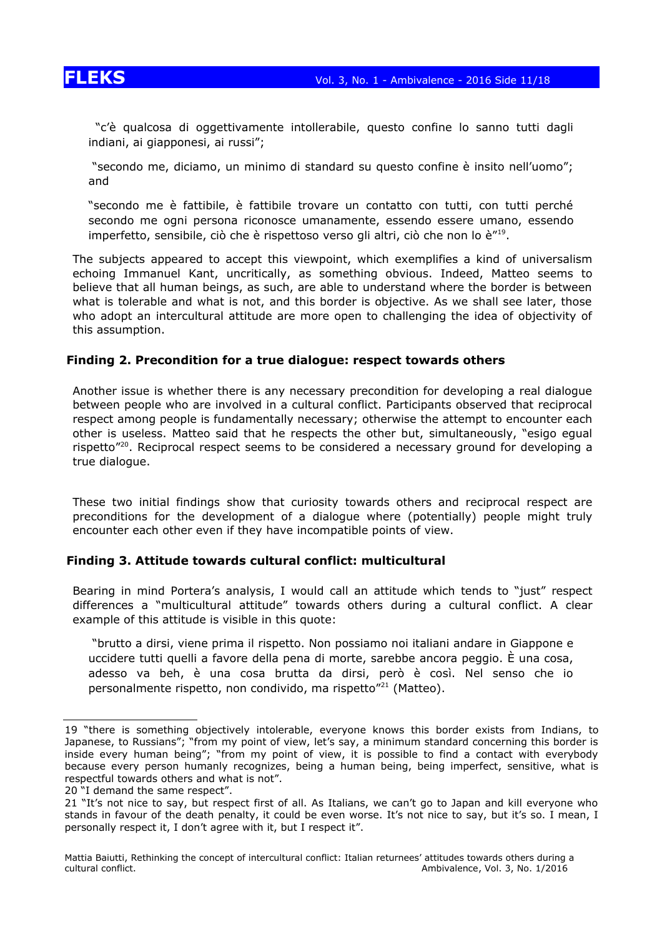

 "c'è qualcosa di oggettivamente intollerabile, questo confine lo sanno tutti dagli indiani, ai giapponesi, ai russi";

"secondo me, diciamo, un minimo di standard su questo confine è insito nell'uomo"; and

"secondo me è fattibile, è fattibile trovare un contatto con tutti, con tutti perché secondo me ogni persona riconosce umanamente, essendo essere umano, essendo imperfetto, sensibile, ciò che è rispettoso verso gli altri, ciò che non lo è"<sup>[19](#page-10-0)</sup>.

The subjects appeared to accept this viewpoint, which exemplifies a kind of universalism echoing Immanuel Kant, uncritically, as something obvious. Indeed, Matteo seems to believe that all human beings, as such, are able to understand where the border is between what is tolerable and what is not, and this border is objective. As we shall see later, those who adopt an intercultural attitude are more open to challenging the idea of objectivity of this assumption.

### **Finding 2. Precondition for a true dialogue: respect towards others**

Another issue is whether there is any necessary precondition for developing a real dialogue between people who are involved in a cultural conflict. Participants observed that reciprocal respect among people is fundamentally necessary; otherwise the attempt to encounter each other is useless. Matteo said that he respects the other but, simultaneously, "esigo egual rispetto"[20](#page-10-1). Reciprocal respect seems to be considered a necessary ground for developing a true dialogue.

These two initial findings show that curiosity towards others and reciprocal respect are preconditions for the development of a dialogue where (potentially) people might truly encounter each other even if they have incompatible points of view.

### **Finding 3. Attitude towards cultural conflict: multicultural**

Bearing in mind Portera's analysis, I would call an attitude which tends to "just" respect differences a "multicultural attitude" towards others during a cultural conflict. A clear example of this attitude is visible in this quote:

"brutto a dirsi, viene prima il rispetto. Non possiamo noi italiani andare in Giappone e uccidere tutti quelli a favore della pena di morte, sarebbe ancora peggio. È una cosa, adesso va beh, è una cosa brutta da dirsi, però è così. Nel senso che io personalmente rispetto, non condivido, ma rispetto"<sup>[21](#page-10-2)</sup> (Matteo).

<span id="page-10-0"></span><sup>19 &</sup>quot;there is something objectively intolerable, everyone knows this border exists from Indians, to Japanese, to Russians"; "from my point of view, let's say, a minimum standard concerning this border is inside every human being"; "from my point of view, it is possible to find a contact with everybody because every person humanly recognizes, being a human being, being imperfect, sensitive, what is respectful towards others and what is not".

<span id="page-10-1"></span><sup>20 &</sup>quot;I demand the same respect".

<span id="page-10-2"></span><sup>21 &</sup>quot;It's not nice to say, but respect first of all. As Italians, we can't go to Japan and kill everyone who stands in favour of the death penalty, it could be even worse. It's not nice to say, but it's so. I mean, I personally respect it, I don't agree with it, but I respect it".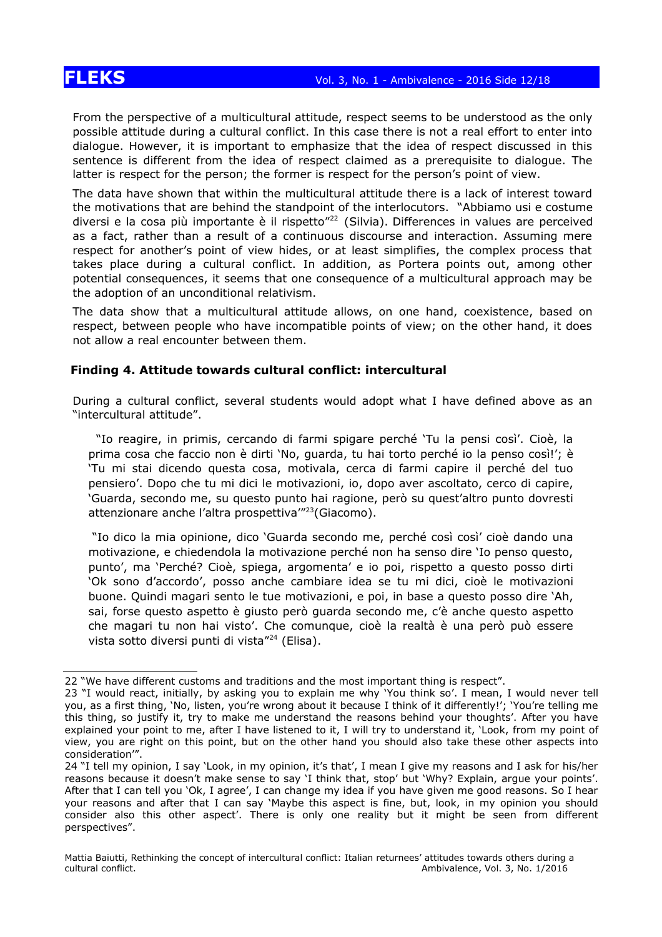From the perspective of a multicultural attitude, respect seems to be understood as the only possible attitude during a cultural conflict. In this case there is not a real effort to enter into dialogue. However, it is important to emphasize that the idea of respect discussed in this sentence is different from the idea of respect claimed as a prerequisite to dialogue. The latter is respect for the person; the former is respect for the person's point of view.

The data have shown that within the multicultural attitude there is a lack of interest toward the motivations that are behind the standpoint of the interlocutors. "Abbiamo usi e costume diversi e la cosa più importante è il rispetto"<sup>[22](#page-11-0)</sup> (Silvia). Differences in values are perceived as a fact, rather than a result of a continuous discourse and interaction. Assuming mere respect for another's point of view hides, or at least simplifies, the complex process that takes place during a cultural conflict. In addition, as Portera points out, among other potential consequences, it seems that one consequence of a multicultural approach may be the adoption of an unconditional relativism.

The data show that a multicultural attitude allows, on one hand, coexistence, based on respect, between people who have incompatible points of view; on the other hand, it does not allow a real encounter between them.

### **Finding 4. Attitude towards cultural conflict: intercultural**

During a cultural conflict, several students would adopt what I have defined above as an "intercultural attitude".

"Io reagire, in primis, cercando di farmi spigare perché 'Tu la pensi così'. Cioè, la prima cosa che faccio non è dirti 'No, guarda, tu hai torto perché io la penso così!'; è 'Tu mi stai dicendo questa cosa, motivala, cerca di farmi capire il perché del tuo pensiero'. Dopo che tu mi dici le motivazioni, io, dopo aver ascoltato, cerco di capire, 'Guarda, secondo me, su questo punto hai ragione, però su quest'altro punto dovresti attenzionare anche l'altra prospettiva"<sup>[23](#page-11-1)</sup>(Giacomo).

"Io dico la mia opinione, dico 'Guarda secondo me, perché così così' cioè dando una motivazione, e chiedendola la motivazione perché non ha senso dire 'Io penso questo, punto', ma 'Perché? Cioè, spiega, argomenta' e io poi, rispetto a questo posso dirti 'Ok sono d'accordo', posso anche cambiare idea se tu mi dici, cioè le motivazioni buone. Quindi magari sento le tue motivazioni, e poi, in base a questo posso dire 'Ah, sai, forse questo aspetto è giusto però guarda secondo me, c'è anche questo aspetto che magari tu non hai visto'. Che comunque, cioè la realtà è una però può essere vista sotto diversi punti di vista"[24](#page-11-2) (Elisa).

<span id="page-11-0"></span><sup>22</sup> "We have different customs and traditions and the most important thing is respect".

<span id="page-11-1"></span><sup>23 &</sup>quot;I would react, initially, by asking you to explain me why 'You think so'. I mean, I would never tell you, as a first thing, 'No, listen, you're wrong about it because I think of it differently!'; 'You're telling me this thing, so justify it, try to make me understand the reasons behind your thoughts'. After you have explained your point to me, after I have listened to it, I will try to understand it, 'Look, from my point of view, you are right on this point, but on the other hand you should also take these other aspects into consideration'".

<span id="page-11-2"></span><sup>24 &</sup>quot;I tell my opinion, I say 'Look, in my opinion, it's that', I mean I give my reasons and I ask for his/her reasons because it doesn't make sense to say 'I think that, stop' but 'Why? Explain, argue your points'. After that I can tell you 'Ok, I agree', I can change my idea if you have given me good reasons. So I hear your reasons and after that I can say 'Maybe this aspect is fine, but, look, in my opinion you should consider also this other aspect'. There is only one reality but it might be seen from different perspectives".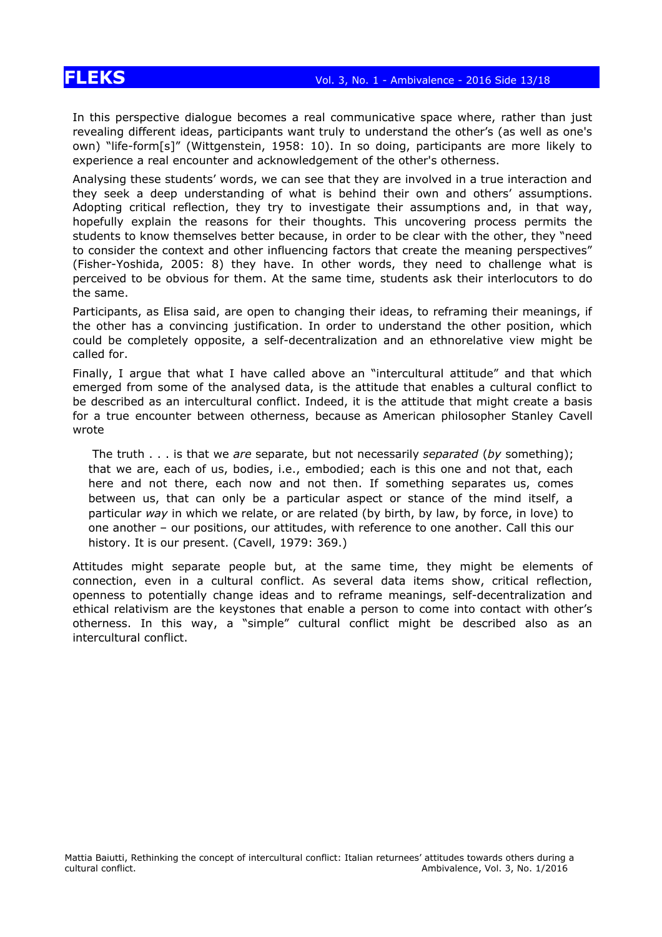In this perspective dialogue becomes a real communicative space where, rather than just revealing different ideas, participants want truly to understand the other's (as well as one's own) "life-form[s]" (Wittgenstein, 1958: 10). In so doing, participants are more likely to experience a real encounter and acknowledgement of the other's otherness.

Analysing these students' words, we can see that they are involved in a true interaction and they seek a deep understanding of what is behind their own and others' assumptions. Adopting critical reflection, they try to investigate their assumptions and, in that way, hopefully explain the reasons for their thoughts. This uncovering process permits the students to know themselves better because, in order to be clear with the other, they "need to consider the context and other influencing factors that create the meaning perspectives" (Fisher-Yoshida, 2005: 8) they have. In other words, they need to challenge what is perceived to be obvious for them. At the same time, students ask their interlocutors to do the same.

Participants, as Elisa said, are open to changing their ideas, to reframing their meanings, if the other has a convincing justification. In order to understand the other position, which could be completely opposite, a self-decentralization and an ethnorelative view might be called for.

Finally, I argue that what I have called above an "intercultural attitude" and that which emerged from some of the analysed data, is the attitude that enables a cultural conflict to be described as an intercultural conflict. Indeed, it is the attitude that might create a basis for a true encounter between otherness, because as American philosopher Stanley Cavell wrote

The truth . . . is that we *are* separate, but not necessarily *separated* (*by* something); that we are, each of us, bodies, i.e., embodied; each is this one and not that, each here and not there, each now and not then. If something separates us, comes between us, that can only be a particular aspect or stance of the mind itself, a particular *way* in which we relate, or are related (by birth, by law, by force, in love) to one another – our positions, our attitudes, with reference to one another. Call this our history. It is our present. (Cavell, 1979: 369.)

Attitudes might separate people but, at the same time, they might be elements of connection, even in a cultural conflict. As several data items show, critical reflection, openness to potentially change ideas and to reframe meanings, self-decentralization and ethical relativism are the keystones that enable a person to come into contact with other's otherness. In this way, a "simple" cultural conflict might be described also as an intercultural conflict.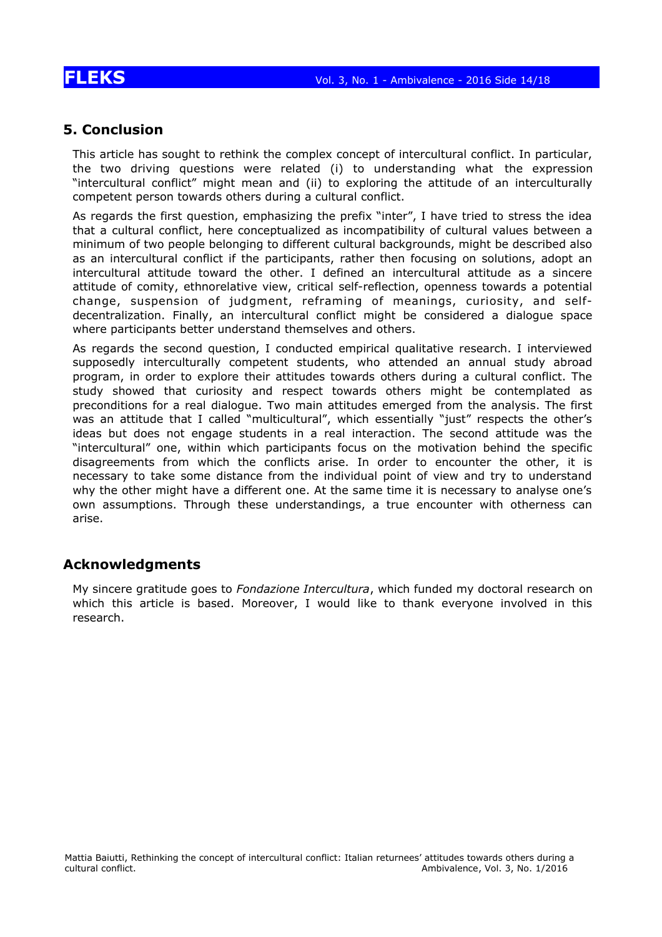### **5. Conclusion**

This article has sought to rethink the complex concept of intercultural conflict. In particular, the two driving questions were related (i) to understanding what the expression "intercultural conflict" might mean and (ii) to exploring the attitude of an interculturally competent person towards others during a cultural conflict.

As regards the first question, emphasizing the prefix "inter", I have tried to stress the idea that a cultural conflict, here conceptualized as incompatibility of cultural values between a minimum of two people belonging to different cultural backgrounds, might be described also as an intercultural conflict if the participants, rather then focusing on solutions, adopt an intercultural attitude toward the other. I defined an intercultural attitude as a sincere attitude of comity, ethnorelative view, critical self-reflection, openness towards a potential change, suspension of judgment, reframing of meanings, curiosity, and selfdecentralization. Finally, an intercultural conflict might be considered a dialogue space where participants better understand themselves and others.

As regards the second question, I conducted empirical qualitative research. I interviewed supposedly interculturally competent students, who attended an annual study abroad program, in order to explore their attitudes towards others during a cultural conflict. The study showed that curiosity and respect towards others might be contemplated as preconditions for a real dialogue. Two main attitudes emerged from the analysis. The first was an attitude that I called "multicultural", which essentially "just" respects the other's ideas but does not engage students in a real interaction. The second attitude was the "intercultural" one, within which participants focus on the motivation behind the specific disagreements from which the conflicts arise. In order to encounter the other, it is necessary to take some distance from the individual point of view and try to understand why the other might have a different one. At the same time it is necessary to analyse one's own assumptions. Through these understandings, a true encounter with otherness can arise.

### **Acknowledgments**

My sincere gratitude goes to *Fondazione Intercultura*, which funded my doctoral research on which this article is based. Moreover, I would like to thank everyone involved in this research.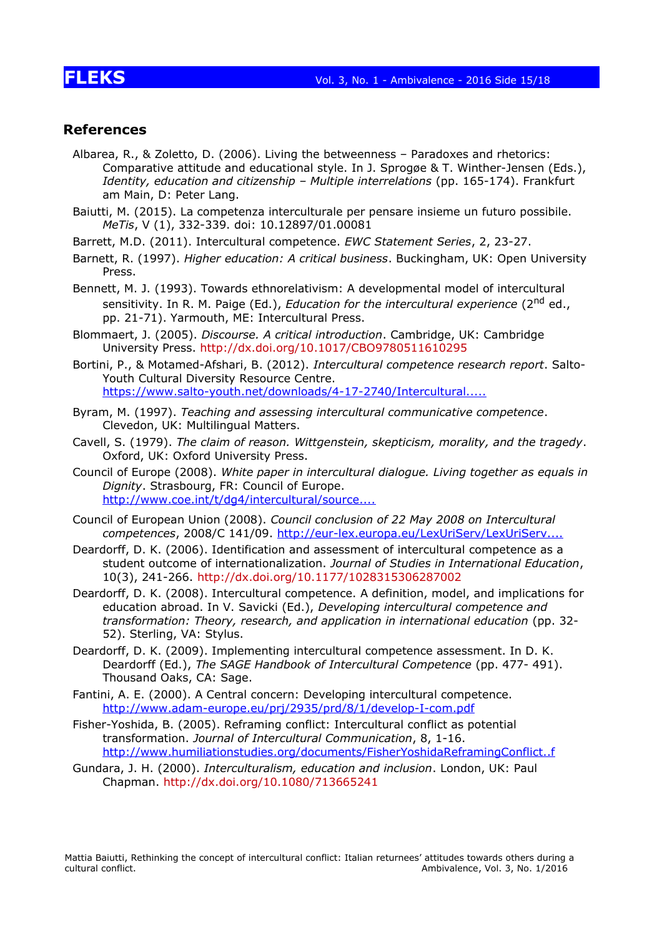### **References**

- Albarea, R., & Zoletto, D. (2006). Living the betweenness Paradoxes and rhetorics: Comparative attitude and educational style. In J. Sprogøe & T. Winther-Jensen (Eds.), *Identity, education and citizenship – Multiple interrelations* (pp. 165-174). Frankfurt am Main, D: Peter Lang.
- Baiutti, M. (2015). La competenza interculturale per pensare insieme un futuro possibile. *MeTis*, V (1), 332-339. doi: 10.12897/01.00081
- Barrett, M.D. (2011). Intercultural competence. *EWC Statement Series*, 2, 23-27.
- Barnett, R. (1997). *Higher education: A critical business*. Buckingham, UK: Open University Press.
- Bennett, M. J. (1993). Towards ethnorelativism: A developmental model of intercultural sensitivity. In R. M. Paige (Ed.), *Education for the intercultural experience* (2<sup>nd</sup> ed., pp. 21-71). Yarmouth, ME: Intercultural Press.
- Blommaert, J. (2005). *Discourse. A critical introduction*. Cambridge, UK: Cambridge University Press. http://dx.doi.org/10.1017/CBO9780511610295
- Bortini, P., & Motamed-Afshari, B. (2012). *Intercultural competence research report*. Salto-Youth Cultural Diversity Resource Centre. [https://www.salto-youth.net/downloads/4-17-2740/Intercultural.....](https://www.salto-youth.net/downloads/4-17-2740/Intercultural%20Competence%20Research%20Report%20-%20final.pdf)
- Byram, M. (1997). *Teaching and assessing intercultural communicative competence*. Clevedon, UK: Multilingual Matters.
- Cavell, S. (1979). *The claim of reason. Wittgenstein, skepticism, morality, and the tragedy*. Oxford, UK: Oxford University Press.
- Council of Europe (2008). *White paper in intercultural dialogue. Living together as equals in Dignity*. Strasbourg, FR: Council of Europe. http://www.coe.int/t/dq4/intercultural/source....
- Council of European Union (2008). *Council conclusion of 22 May 2008 on Intercultural competences*, 2008/C 141/09. [http://eur-lex.europa.eu/LexUriServ/LexUriServ....](http://eur-lex.europa.eu/LexUriServ/LexUriServ.do?uri=OJ:C:2008:141:0014:0016:EN:PDF)
- Deardorff, D. K. (2006). Identification and assessment of intercultural competence as a student outcome of internationalization. *Journal of Studies in International Education*, 10(3), 241-266. http://dx.doi.org/10.1177/1028315306287002
- Deardorff, D. K. (2008). Intercultural competence. A definition, model, and implications for education abroad. In V. Savicki (Ed.), *Developing intercultural competence and transformation: Theory, research, and application in international education* (pp. 32- 52). Sterling, VA: Stylus.
- Deardorff, D. K. (2009). Implementing intercultural competence assessment. In D. K. Deardorff (Ed.), *The SAGE Handbook of Intercultural Competence* (pp. 477- 491). Thousand Oaks, CA: Sage.
- Fantini, A. E. (2000). A Central concern: Developing intercultural competence. <http://www.adam-europe.eu/prj/2935/prd/8/1/develop-I-com.pdf>
- Fisher-Yoshida, B. (2005). Reframing conflict: Intercultural conflict as potential transformation. *Journal of Intercultural Communication*, 8, 1-16. [http://www.humiliationstudies.org/documents/FisherYoshidaReframingConflict..f](http://www.humiliationstudies.org/documents/FisherYoshidaReframingConflictSIETAR.pdf)
- Gundara, J. H. (2000). *Interculturalism, education and inclusion*. London, UK: Paul Chapman. http://dx.doi.org/10.1080/713665241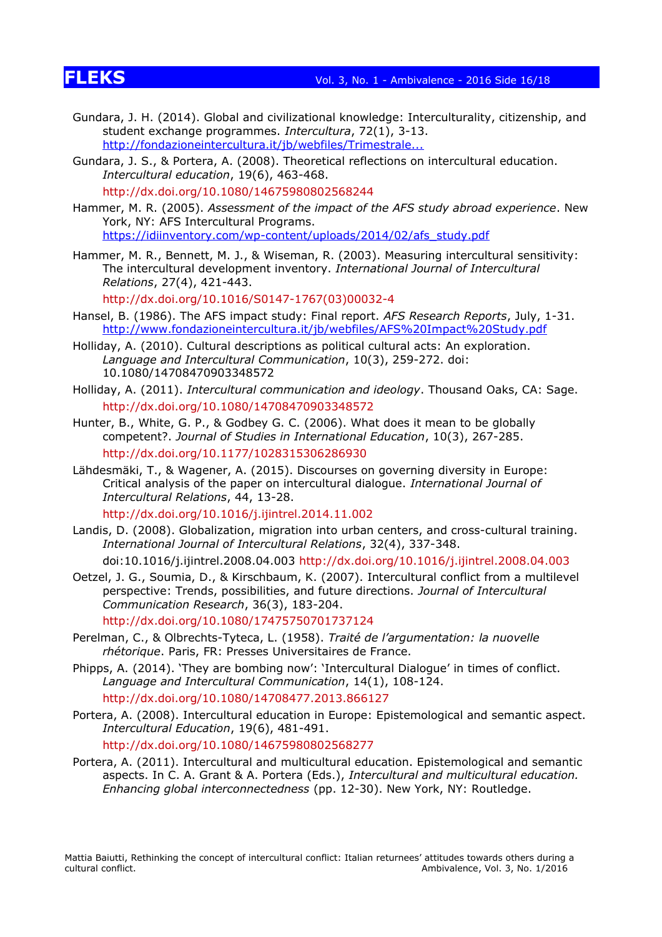- Gundara, J. H. (2014). Global and civilizational knowledge: Interculturality, citizenship, and student exchange programmes. *Intercultura*, 72(1), 3-13. [http://fondazioneintercultura.it/jb/webfiles/Trimestrale...](http://fondazioneintercultura.it/jb/webfiles/Trimestrale%20Intercultura%20N72%202014.pdf)
- Gundara, J. S., & Portera, A. (2008). Theoretical reflections on intercultural education. *Intercultural education*, 19(6), 463-468.

http://dx.doi.org/10.1080/14675980802568244

- Hammer, M. R. (2005). *Assessment of the impact of the AFS study abroad experience*. New York, NY: AFS Intercultural Programs. [https://idiinventory.com/wp-content/uploads/2014/02/afs\\_study.pdf](https://idiinventory.com/wp-content/uploads/2014/02/afs_study.pdf)
- Hammer, M. R., Bennett, M. J., & Wiseman, R. (2003). Measuring intercultural sensitivity: The intercultural development inventory. *International Journal of Intercultural Relations*, 27(4), 421-443.

http://dx.doi.org/10.1016/S0147-1767(03)00032-4

- Hansel, B. (1986). The AFS impact study: Final report. *AFS Research Reports*, July, 1-31. <http://www.fondazioneintercultura.it/jb/webfiles/AFS%20Impact%20Study.pdf>
- Holliday, A. (2010). Cultural descriptions as political cultural acts: An exploration. *Language and Intercultural Communication*, 10(3), 259-272. doi: 10.1080/14708470903348572
- Holliday, A. (2011). *Intercultural communication and ideology*. Thousand Oaks, CA: Sage. http://dx.doi.org/10.1080/14708470903348572
- Hunter, B., White, G. P., & Godbey G. C. (2006). What does it mean to be globally competent?. *Journal of Studies in International Education*, 10(3), 267-285. http://dx.doi.org/10.1177/1028315306286930
- Lähdesmäki, T., & Wagener, A. (2015). Discourses on governing diversity in Europe: Critical analysis of the paper on intercultural dialogue. *International Journal of Intercultural Relations*, 44, 13-28.

http://dx.doi.org/10.1016/j.ijintrel.2014.11.002

Landis, D. (2008). Globalization, migration into urban centers, and cross-cultural training. *International Journal of Intercultural Relations*, 32(4), 337-348.

doi:10.1016/j.ijintrel.2008.04.003 http://dx.doi.org/10.1016/j.ijintrel.2008.04.003

Oetzel, J. G., Soumia, D., & Kirschbaum, K. (2007). Intercultural conflict from a multilevel perspective: Trends, possibilities, and future directions. *Journal of Intercultural Communication Research*, 36(3), 183-204.

http://dx.doi.org/10.1080/17475750701737124

- Perelman, C., & Olbrechts-Tyteca, L. (1958). *Traité de l'argumentation: la nuovelle rhétorique*. Paris, FR: Presses Universitaires de France.
- Phipps, A. (2014). 'They are bombing now': 'Intercultural Dialogue' in times of conflict. *Language and Intercultural Communication*, 14(1), 108-124. http://dx.doi.org/10.1080/14708477.2013.866127
- Portera, A. (2008). Intercultural education in Europe: Epistemological and semantic aspect. *Intercultural Education*, 19(6), 481-491. http://dx.doi.org/10.1080/14675980802568277
- Portera, A. (2011). Intercultural and multicultural education. Epistemological and semantic aspects. In C. A. Grant & A. Portera (Eds.), *Intercultural and multicultural education. Enhancing global interconnectedness* (pp. 12-30). New York, NY: Routledge.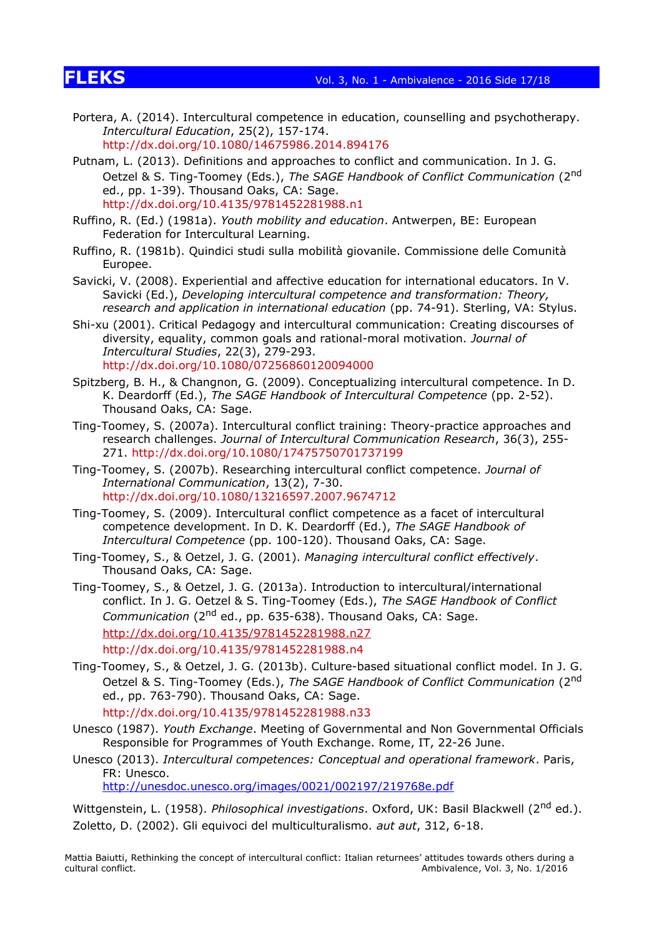# **FLEKS** Vol. 3, No. 1 - Ambivalence - 2016 Side 17/18

- Portera, A. (2014). Intercultural competence in education, counselling and psychotherapy. *Intercultural Education*, 25(2), 157-174. http://dx.doi.org/10.1080/14675986.2014.894176
- Putnam, L. (2013). Definitions and approaches to conflict and communication. In J. G. Oetzel & S. Ting-Toomey (Eds.), *The SAGE Handbook of Conflict Communication* (2nd ed., pp. 1-39). Thousand Oaks, CA: Sage. http://dx.doi.org/10.4135/9781452281988.n1
- Ruffino, R. (Ed.) (1981a). *Youth mobility and education*. Antwerpen, BE: European Federation for Intercultural Learning.
- Ruffino, R. (1981b). Quindici studi sulla mobilità giovanile. Commissione delle Comunità Europee.
- Savicki, V. (2008). Experiential and affective education for international educators. In V. Savicki (Ed.), *Developing intercultural competence and transformation: Theory, research and application in international education* (pp. 74-91). Sterling, VA: Stylus.
- Shi-xu (2001). Critical Pedagogy and intercultural communication: Creating discourses of diversity, equality, common goals and rational-moral motivation. *Journal of Intercultural Studies*, 22(3), 279-293. http://dx.doi.org/10.1080/07256860120094000
- Spitzberg, B. H., & Changnon, G. (2009). Conceptualizing intercultural competence. In D. K. Deardorff (Ed.), *The SAGE Handbook of Intercultural Competence* (pp. 2-52). Thousand Oaks, CA: Sage.
- Ting-Toomey, S. (2007a). Intercultural conflict training: Theory-practice approaches and research challenges. *Journal of Intercultural Communication Research*, 36(3), 255- 271. http://dx.doi.org/10.1080/17475750701737199
- Ting-Toomey, S. (2007b). Researching intercultural conflict competence. *Journal of International Communication*, 13(2), 7-30. http://dx.doi.org/10.1080/13216597.2007.9674712
- Ting-Toomey, S. (2009). Intercultural conflict competence as a facet of intercultural competence development. In D. K. Deardorff (Ed.), *The SAGE Handbook of Intercultural Competence* (pp. 100-120). Thousand Oaks, CA: Sage.
- Ting-Toomey, S., & Oetzel, J. G. (2001). *Managing intercultural conflict effectively*. Thousand Oaks, CA: Sage.
- Ting-Toomey, S., & Oetzel, J. G. (2013a). Introduction to intercultural/international conflict. In J. G. Oetzel & S. Ting-Toomey (Eds.), *The SAGE Handbook of Conflict Communication* (2nd ed., pp. 635-638). Thousand Oaks, CA: Sage. <http://dx.doi.org/10.4135/9781452281988.n27> http://dx.doi.org/10.4135/9781452281988.n4
- Ting-Toomey, S., & Oetzel, J. G. (2013b). Culture-based situational conflict model. In J. G. Oetzel & S. Ting-Toomey (Eds.), *The SAGE Handbook of Conflict Communication* (2nd ed., pp. 763-790). Thousand Oaks, CA: Sage. http://dx.doi.org/10.4135/9781452281988.n33
- Unesco (1987). *Youth Exchange*. Meeting of Governmental and Non Governmental Officials Responsible for Programmes of Youth Exchange. Rome, IT, 22-26 June.
- Unesco (2013). *Intercultural competences: Conceptual and operational framework*. Paris, FR: Unesco.

<http://unesdoc.unesco.org/images/0021/002197/219768e.pdf>

Wittgenstein, L. (1958). *Philosophical investigations*. Oxford, UK: Basil Blackwell (2nd ed.). Zoletto, D. (2002). Gli equivoci del multiculturalismo. *aut aut*, 312, 6-18.